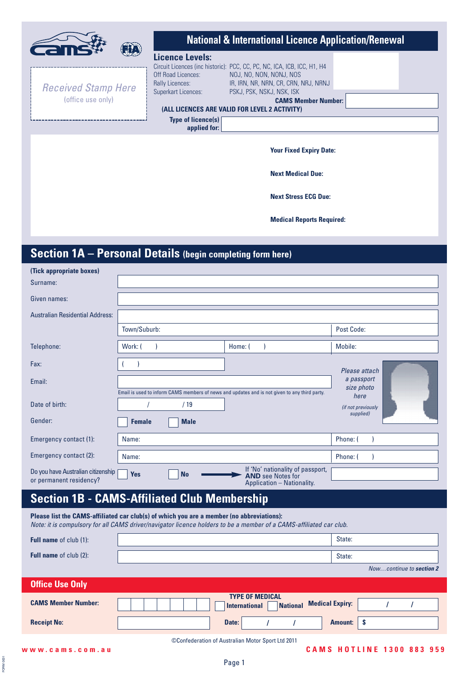|                                                 | <b>National &amp; International Licence Application/Renewal</b>                                                                                                                                                                                                                                                                                         |
|-------------------------------------------------|---------------------------------------------------------------------------------------------------------------------------------------------------------------------------------------------------------------------------------------------------------------------------------------------------------------------------------------------------------|
| <b>Received Stamp Here</b><br>(office use only) | <b>Licence Levels:</b><br>Circuit Licences (inc historic): PCC, CC, PC, NC, ICA, ICB, ICC, H1, H4<br>Off Road Licences:<br>NOJ, NO, NON, NONJ, NOS<br><b>Rally Licences:</b><br>IR, IRN, NR, NRN, CR, CRN, NRJ, NRNJ<br>Superkart Licences:<br>PSKJ, PSK, NSKJ, NSK, ISK<br><b>CAMS Member Number:</b><br>(ALL LICENCES ARE VALID FOR LEVEL 2 ACTIVITY) |
|                                                 | <b>Type of licence(s)</b><br>applied for:                                                                                                                                                                                                                                                                                                               |
|                                                 | <b>Your Fixed Expiry Date:</b>                                                                                                                                                                                                                                                                                                                          |
|                                                 | <b>Next Medical Due:</b>                                                                                                                                                                                                                                                                                                                                |
|                                                 | <b>Next Stress ECG Due:</b>                                                                                                                                                                                                                                                                                                                             |
|                                                 | <b>Medical Reports Required:</b>                                                                                                                                                                                                                                                                                                                        |

# **Section 1A – Personal Details (begin completing form here)**

| (Tick appropriate boxes)                                      |               |             |                                                                                               |                            |
|---------------------------------------------------------------|---------------|-------------|-----------------------------------------------------------------------------------------------|----------------------------|
| Surname:                                                      |               |             |                                                                                               |                            |
| Given names:                                                  |               |             |                                                                                               |                            |
| <b>Australian Residential Address:</b>                        |               |             |                                                                                               |                            |
|                                                               | Town/Suburb:  |             |                                                                                               | Post Code:                 |
| Telephone:                                                    | Work: (       |             | Home: (                                                                                       | Mobile:                    |
| Fax:                                                          |               |             |                                                                                               | Please attach              |
| Email:                                                        |               |             | Email is used to inform CAMS members of news and updates and is not given to any third party. | a passport<br>size photo   |
| Date of birth:                                                |               | /19         |                                                                                               | here<br>(if not previously |
| Gender:                                                       | <b>Female</b> | <b>Male</b> |                                                                                               | supplied)                  |
| Emergency contact (1):                                        | Name:         |             |                                                                                               | Phone: (                   |
| Emergency contact (2):                                        | Name:         |             |                                                                                               | Phone: (                   |
| Do you have Australian citizenship<br>or permanent residency? | <b>Yes</b>    | <b>No</b>   | If 'No' nationality of passport,<br><b>AND</b> see Notes for<br>Application - Nationality.    |                            |

# **Section 1B - CAMS-Affiliated Club Membership**

**Please list the CAMS-affiliated car club(s) of which you are a member (no abbreviations):** Note: it is compulsory for all CAMS driver/navigator licence holders to be a member of a CAMS-affiliated car club.

| <b>Full name</b> of club (1): | State:                                                                                      |
|-------------------------------|---------------------------------------------------------------------------------------------|
| <b>Full name</b> of club (2): | State:                                                                                      |
|                               | Nowcontinue to section 2                                                                    |
| <b>Office Use Only</b>        |                                                                                             |
| <b>CAMS Member Number:</b>    | <b>TYPE OF MEDICAL</b><br><b>Medical Expiry:</b><br><b>National</b><br><b>International</b> |
| <b>Receipt No:</b>            | <b>Amount:</b><br>Date:                                                                     |
|                               | ©Confederation of Australian Motor Sport Ltd 2011                                           |

FORM 0001

FORM 0001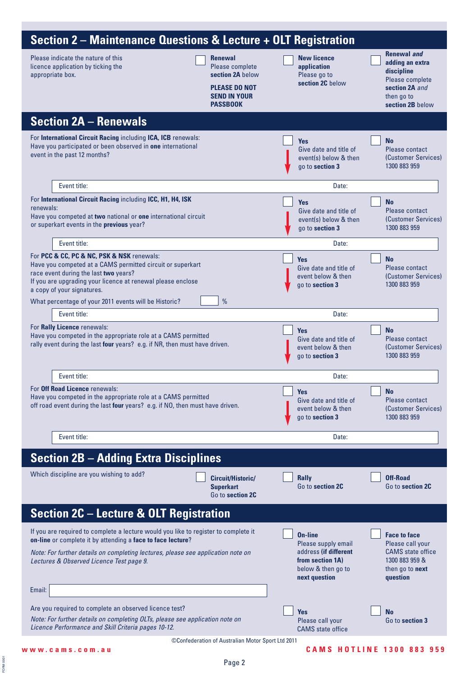| <b>Renewal and</b><br>Please indicate the nature of this<br><b>New licence</b><br><b>Renewal</b><br>adding an extra<br>Please complete<br>licence application by ticking the<br>application<br>discipline<br>section 2A below<br>appropriate box.<br>Please go to<br>Please complete<br>section 2C below<br><b>PLEASE DO NOT</b><br>section 2A and<br><b>SEND IN YOUR</b><br>then go to<br><b>PASSBOOK</b><br>section 2B below<br><b>Section 2A - Renewals</b><br>For International Circuit Racing including ICA, ICB renewals:<br><b>No</b><br><b>Yes</b><br>Have you participated or been observed in one international<br>Give date and title of<br>Please contact<br>event in the past 12 months?<br>event(s) below & then<br>(Customer Services)<br>1300 883 959<br>go to section 3<br>Event title:<br>Date:<br>For International Circuit Racing including ICC, H1, H4, ISK<br><b>Yes</b><br><b>No</b><br>renewals:<br>Please contact<br>Give date and title of<br>Have you competed at two national or one international circuit<br>event(s) below & then<br>(Customer Services)<br>or superkart events in the previous year?<br>1300 883 959<br>go to section 3<br>Event title:<br>Date:<br>For PCC & CC, PC & NC, PSK & NSK renewals:<br><b>Yes</b><br><b>No</b><br>Have you competed at a CAMS permitted circuit or superkart<br>Give date and title of<br>Please contact<br>race event during the last two years?<br>(Customer Services)<br>event below & then<br>If you are upgrading your licence at renewal please enclose<br>1300 883 959<br>go to section 3<br>a copy of your signatures.<br>$\frac{0}{0}$<br>What percentage of your 2011 events will be Historic?<br>Event title:<br>Date:<br>For Rally Licence renewals:<br><b>No</b><br><b>Yes</b><br>Have you competed in the appropriate role at a CAMS permitted<br>Give date and title of<br>Please contact<br>rally event during the last four years? e.g. if NR, then must have driven.<br>event below & then<br>(Customer Services)<br>1300 883 959<br>go to section 3<br>Event title:<br>Date:<br>For Off Road Licence renewals:<br><b>Yes</b><br><b>No</b><br>Have you competed in the appropriate role at a CAMS permitted<br>Give date and title of<br>Please contact<br>off road event during the last four years? e.g. if NO, then must have driven.<br>event below & then<br>(Customer Services)<br>1300 883 959<br>go to section 3<br>Event title:<br>Date:<br><b>Section 2B - Adding Extra Disciplines</b><br>Which discipline are you wishing to add?<br>Off-Road<br>Circuit/Historic/<br><b>Rally</b><br>Go to section 2C<br><b>Superkart</b><br>Go to section 2C<br>Go to section 2C<br><b>Section 2C - Lecture &amp; OLT Registration</b><br>If you are required to complete a lecture would you like to register to complete it<br><b>On-line</b><br><b>Face to face</b><br>on-line or complete it by attending a face to face lecture?<br>Please call your<br>Please supply email<br><b>CAMS</b> state office<br>address (if different<br>Note: For further details on completing lectures, please see application note on<br>1300 883 959 &<br>from section 1A)<br>Lectures & Observed Licence Test page 9.<br>below & then go to<br>then go to <b>next</b><br>next question<br>question<br>Email:<br>Are you required to complete an observed licence test?<br><b>Yes</b><br><b>No</b><br>Note: For further details on completing OLTs, please see application note on<br>Go to section 3<br>Please call your<br>Licence Performance and Skill Criteria pages 10-12.<br><b>CAMS</b> state office<br>©Confederation of Australian Motor Sport Ltd 2011 | <b>Section 2 – Maintenance Questions &amp; Lecture + OLT Registration</b> |  |  |  |
|--------------------------------------------------------------------------------------------------------------------------------------------------------------------------------------------------------------------------------------------------------------------------------------------------------------------------------------------------------------------------------------------------------------------------------------------------------------------------------------------------------------------------------------------------------------------------------------------------------------------------------------------------------------------------------------------------------------------------------------------------------------------------------------------------------------------------------------------------------------------------------------------------------------------------------------------------------------------------------------------------------------------------------------------------------------------------------------------------------------------------------------------------------------------------------------------------------------------------------------------------------------------------------------------------------------------------------------------------------------------------------------------------------------------------------------------------------------------------------------------------------------------------------------------------------------------------------------------------------------------------------------------------------------------------------------------------------------------------------------------------------------------------------------------------------------------------------------------------------------------------------------------------------------------------------------------------------------------------------------------------------------------------------------------------------------------------------------------------------------------------------------------------------------------------------------------------------------------------------------------------------------------------------------------------------------------------------------------------------------------------------------------------------------------------------------------------------------------------------------------------------------------------------------------------------------------------------------------------------------------------------------------------------------------------------------------------------------------------------------------------------------------------------------------------------------------------------------------------------------------------------------------------------------------------------------------------------------------------------------------------------------------------------------------------------------------------------------------------------------------------------------------------------------------------------------------------------------------------------------------------------------------------------------------------------------------------------------------------------------------------------------------------------------------------------------------------------------------------------------------------------------------------------------------------------------------------------------------------------------------------------------------------|---------------------------------------------------------------------------|--|--|--|
|                                                                                                                                                                                                                                                                                                                                                                                                                                                                                                                                                                                                                                                                                                                                                                                                                                                                                                                                                                                                                                                                                                                                                                                                                                                                                                                                                                                                                                                                                                                                                                                                                                                                                                                                                                                                                                                                                                                                                                                                                                                                                                                                                                                                                                                                                                                                                                                                                                                                                                                                                                                                                                                                                                                                                                                                                                                                                                                                                                                                                                                                                                                                                                                                                                                                                                                                                                                                                                                                                                                                                                                                                                                  |                                                                           |  |  |  |
|                                                                                                                                                                                                                                                                                                                                                                                                                                                                                                                                                                                                                                                                                                                                                                                                                                                                                                                                                                                                                                                                                                                                                                                                                                                                                                                                                                                                                                                                                                                                                                                                                                                                                                                                                                                                                                                                                                                                                                                                                                                                                                                                                                                                                                                                                                                                                                                                                                                                                                                                                                                                                                                                                                                                                                                                                                                                                                                                                                                                                                                                                                                                                                                                                                                                                                                                                                                                                                                                                                                                                                                                                                                  |                                                                           |  |  |  |
|                                                                                                                                                                                                                                                                                                                                                                                                                                                                                                                                                                                                                                                                                                                                                                                                                                                                                                                                                                                                                                                                                                                                                                                                                                                                                                                                                                                                                                                                                                                                                                                                                                                                                                                                                                                                                                                                                                                                                                                                                                                                                                                                                                                                                                                                                                                                                                                                                                                                                                                                                                                                                                                                                                                                                                                                                                                                                                                                                                                                                                                                                                                                                                                                                                                                                                                                                                                                                                                                                                                                                                                                                                                  |                                                                           |  |  |  |
|                                                                                                                                                                                                                                                                                                                                                                                                                                                                                                                                                                                                                                                                                                                                                                                                                                                                                                                                                                                                                                                                                                                                                                                                                                                                                                                                                                                                                                                                                                                                                                                                                                                                                                                                                                                                                                                                                                                                                                                                                                                                                                                                                                                                                                                                                                                                                                                                                                                                                                                                                                                                                                                                                                                                                                                                                                                                                                                                                                                                                                                                                                                                                                                                                                                                                                                                                                                                                                                                                                                                                                                                                                                  |                                                                           |  |  |  |
|                                                                                                                                                                                                                                                                                                                                                                                                                                                                                                                                                                                                                                                                                                                                                                                                                                                                                                                                                                                                                                                                                                                                                                                                                                                                                                                                                                                                                                                                                                                                                                                                                                                                                                                                                                                                                                                                                                                                                                                                                                                                                                                                                                                                                                                                                                                                                                                                                                                                                                                                                                                                                                                                                                                                                                                                                                                                                                                                                                                                                                                                                                                                                                                                                                                                                                                                                                                                                                                                                                                                                                                                                                                  |                                                                           |  |  |  |
|                                                                                                                                                                                                                                                                                                                                                                                                                                                                                                                                                                                                                                                                                                                                                                                                                                                                                                                                                                                                                                                                                                                                                                                                                                                                                                                                                                                                                                                                                                                                                                                                                                                                                                                                                                                                                                                                                                                                                                                                                                                                                                                                                                                                                                                                                                                                                                                                                                                                                                                                                                                                                                                                                                                                                                                                                                                                                                                                                                                                                                                                                                                                                                                                                                                                                                                                                                                                                                                                                                                                                                                                                                                  |                                                                           |  |  |  |
|                                                                                                                                                                                                                                                                                                                                                                                                                                                                                                                                                                                                                                                                                                                                                                                                                                                                                                                                                                                                                                                                                                                                                                                                                                                                                                                                                                                                                                                                                                                                                                                                                                                                                                                                                                                                                                                                                                                                                                                                                                                                                                                                                                                                                                                                                                                                                                                                                                                                                                                                                                                                                                                                                                                                                                                                                                                                                                                                                                                                                                                                                                                                                                                                                                                                                                                                                                                                                                                                                                                                                                                                                                                  |                                                                           |  |  |  |
|                                                                                                                                                                                                                                                                                                                                                                                                                                                                                                                                                                                                                                                                                                                                                                                                                                                                                                                                                                                                                                                                                                                                                                                                                                                                                                                                                                                                                                                                                                                                                                                                                                                                                                                                                                                                                                                                                                                                                                                                                                                                                                                                                                                                                                                                                                                                                                                                                                                                                                                                                                                                                                                                                                                                                                                                                                                                                                                                                                                                                                                                                                                                                                                                                                                                                                                                                                                                                                                                                                                                                                                                                                                  |                                                                           |  |  |  |
|                                                                                                                                                                                                                                                                                                                                                                                                                                                                                                                                                                                                                                                                                                                                                                                                                                                                                                                                                                                                                                                                                                                                                                                                                                                                                                                                                                                                                                                                                                                                                                                                                                                                                                                                                                                                                                                                                                                                                                                                                                                                                                                                                                                                                                                                                                                                                                                                                                                                                                                                                                                                                                                                                                                                                                                                                                                                                                                                                                                                                                                                                                                                                                                                                                                                                                                                                                                                                                                                                                                                                                                                                                                  |                                                                           |  |  |  |
|                                                                                                                                                                                                                                                                                                                                                                                                                                                                                                                                                                                                                                                                                                                                                                                                                                                                                                                                                                                                                                                                                                                                                                                                                                                                                                                                                                                                                                                                                                                                                                                                                                                                                                                                                                                                                                                                                                                                                                                                                                                                                                                                                                                                                                                                                                                                                                                                                                                                                                                                                                                                                                                                                                                                                                                                                                                                                                                                                                                                                                                                                                                                                                                                                                                                                                                                                                                                                                                                                                                                                                                                                                                  |                                                                           |  |  |  |
|                                                                                                                                                                                                                                                                                                                                                                                                                                                                                                                                                                                                                                                                                                                                                                                                                                                                                                                                                                                                                                                                                                                                                                                                                                                                                                                                                                                                                                                                                                                                                                                                                                                                                                                                                                                                                                                                                                                                                                                                                                                                                                                                                                                                                                                                                                                                                                                                                                                                                                                                                                                                                                                                                                                                                                                                                                                                                                                                                                                                                                                                                                                                                                                                                                                                                                                                                                                                                                                                                                                                                                                                                                                  |                                                                           |  |  |  |
|                                                                                                                                                                                                                                                                                                                                                                                                                                                                                                                                                                                                                                                                                                                                                                                                                                                                                                                                                                                                                                                                                                                                                                                                                                                                                                                                                                                                                                                                                                                                                                                                                                                                                                                                                                                                                                                                                                                                                                                                                                                                                                                                                                                                                                                                                                                                                                                                                                                                                                                                                                                                                                                                                                                                                                                                                                                                                                                                                                                                                                                                                                                                                                                                                                                                                                                                                                                                                                                                                                                                                                                                                                                  |                                                                           |  |  |  |
|                                                                                                                                                                                                                                                                                                                                                                                                                                                                                                                                                                                                                                                                                                                                                                                                                                                                                                                                                                                                                                                                                                                                                                                                                                                                                                                                                                                                                                                                                                                                                                                                                                                                                                                                                                                                                                                                                                                                                                                                                                                                                                                                                                                                                                                                                                                                                                                                                                                                                                                                                                                                                                                                                                                                                                                                                                                                                                                                                                                                                                                                                                                                                                                                                                                                                                                                                                                                                                                                                                                                                                                                                                                  |                                                                           |  |  |  |
|                                                                                                                                                                                                                                                                                                                                                                                                                                                                                                                                                                                                                                                                                                                                                                                                                                                                                                                                                                                                                                                                                                                                                                                                                                                                                                                                                                                                                                                                                                                                                                                                                                                                                                                                                                                                                                                                                                                                                                                                                                                                                                                                                                                                                                                                                                                                                                                                                                                                                                                                                                                                                                                                                                                                                                                                                                                                                                                                                                                                                                                                                                                                                                                                                                                                                                                                                                                                                                                                                                                                                                                                                                                  |                                                                           |  |  |  |
|                                                                                                                                                                                                                                                                                                                                                                                                                                                                                                                                                                                                                                                                                                                                                                                                                                                                                                                                                                                                                                                                                                                                                                                                                                                                                                                                                                                                                                                                                                                                                                                                                                                                                                                                                                                                                                                                                                                                                                                                                                                                                                                                                                                                                                                                                                                                                                                                                                                                                                                                                                                                                                                                                                                                                                                                                                                                                                                                                                                                                                                                                                                                                                                                                                                                                                                                                                                                                                                                                                                                                                                                                                                  |                                                                           |  |  |  |
|                                                                                                                                                                                                                                                                                                                                                                                                                                                                                                                                                                                                                                                                                                                                                                                                                                                                                                                                                                                                                                                                                                                                                                                                                                                                                                                                                                                                                                                                                                                                                                                                                                                                                                                                                                                                                                                                                                                                                                                                                                                                                                                                                                                                                                                                                                                                                                                                                                                                                                                                                                                                                                                                                                                                                                                                                                                                                                                                                                                                                                                                                                                                                                                                                                                                                                                                                                                                                                                                                                                                                                                                                                                  |                                                                           |  |  |  |
|                                                                                                                                                                                                                                                                                                                                                                                                                                                                                                                                                                                                                                                                                                                                                                                                                                                                                                                                                                                                                                                                                                                                                                                                                                                                                                                                                                                                                                                                                                                                                                                                                                                                                                                                                                                                                                                                                                                                                                                                                                                                                                                                                                                                                                                                                                                                                                                                                                                                                                                                                                                                                                                                                                                                                                                                                                                                                                                                                                                                                                                                                                                                                                                                                                                                                                                                                                                                                                                                                                                                                                                                                                                  |                                                                           |  |  |  |
|                                                                                                                                                                                                                                                                                                                                                                                                                                                                                                                                                                                                                                                                                                                                                                                                                                                                                                                                                                                                                                                                                                                                                                                                                                                                                                                                                                                                                                                                                                                                                                                                                                                                                                                                                                                                                                                                                                                                                                                                                                                                                                                                                                                                                                                                                                                                                                                                                                                                                                                                                                                                                                                                                                                                                                                                                                                                                                                                                                                                                                                                                                                                                                                                                                                                                                                                                                                                                                                                                                                                                                                                                                                  |                                                                           |  |  |  |
|                                                                                                                                                                                                                                                                                                                                                                                                                                                                                                                                                                                                                                                                                                                                                                                                                                                                                                                                                                                                                                                                                                                                                                                                                                                                                                                                                                                                                                                                                                                                                                                                                                                                                                                                                                                                                                                                                                                                                                                                                                                                                                                                                                                                                                                                                                                                                                                                                                                                                                                                                                                                                                                                                                                                                                                                                                                                                                                                                                                                                                                                                                                                                                                                                                                                                                                                                                                                                                                                                                                                                                                                                                                  |                                                                           |  |  |  |

FORM 0001

FORM 0001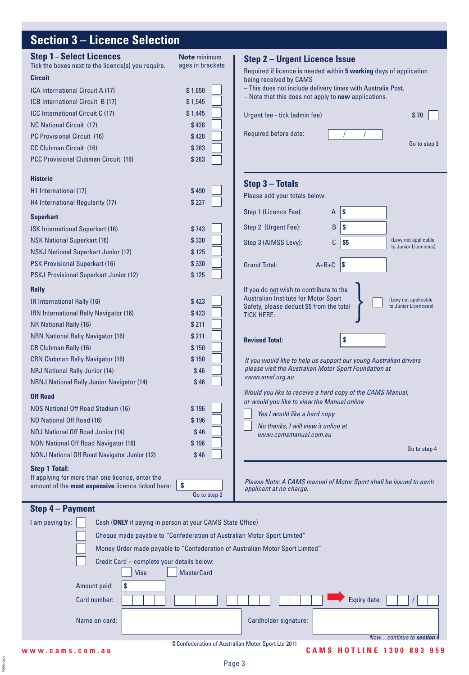# **Section 3 – Licence Selection**

| <b>Step 1-Select Licences</b><br>Tick the boxes next to the licence(s) you require.<br><b>Circuit</b><br>ICA International Circuit A (17)<br>ICB International Circuit B (17)<br><b>ICC International Circuit C (17)</b><br><b>NC National Circuit (17)</b><br>PC Provisional Circuit (16)                                          | Note minimum<br>ages in brackets<br>\$1,650<br>\$1,545<br>\$1,445<br>\$428<br>\$428 | <b>Step 2 - Urgent Licence Issue</b><br>Required if licence is needed within 5 working days of application<br>being received by CAMS<br>- This does not include delivery times with Australia Post.<br>$-$ Note that this does not apply to <b>new</b> applications.<br>Urgent fee - tick (admin fee)<br>\$70<br>Required before date:<br>Go to step 3                           |
|-------------------------------------------------------------------------------------------------------------------------------------------------------------------------------------------------------------------------------------------------------------------------------------------------------------------------------------|-------------------------------------------------------------------------------------|----------------------------------------------------------------------------------------------------------------------------------------------------------------------------------------------------------------------------------------------------------------------------------------------------------------------------------------------------------------------------------|
| CC Clubman Circuit (16)<br><b>PCC Provisional Clubman Circuit (16)</b><br><b>Historic</b><br>H1 International (17)                                                                                                                                                                                                                  | \$263<br>\$263<br>\$490                                                             | Step 3 - Totals                                                                                                                                                                                                                                                                                                                                                                  |
| H4 International Regularity (17)<br><b>Superkart</b><br>ISK International Superkart (16)                                                                                                                                                                                                                                            | \$237<br>\$743                                                                      | Please add your totals below:<br>Step 1 (Licence Fee):<br>l\$<br>A<br>Step 2 (Urgent Fee):<br>B<br>S                                                                                                                                                                                                                                                                             |
| <b>NSK National Superkart (16)</b><br><b>NSKJ National Superkart Junior (12)</b><br><b>PSK Provisional Superkart (16)</b><br><b>PSKJ Provisional Superkart Junior (12)</b>                                                                                                                                                          | \$330<br>\$125<br>\$330<br>\$125                                                    | (Levy not applicable<br>\$5<br>Step 3 (AIMSS Levy):<br>C<br>to Junior Licencees)<br>$\vert$ \$<br><b>Grand Total:</b><br>$A+B+C$                                                                                                                                                                                                                                                 |
| <b>Rally</b><br>IR International Rally (16)<br>IRN International Rally Navigator (16)<br>NR National Rally (16)<br><b>NRN National Rally Navigator (16)</b><br><b>CR Clubman Rally (16)</b><br><b>CRN Clubman Rally Navigator (16)</b><br><b>NRJ National Rally Junior (14)</b><br><b>NRNJ National Rally Junior Navigator (14)</b> | \$423<br>\$423<br>\$211<br>\$211<br>\$150<br>\$150<br>\$46<br>\$46                  | If you do not wish to contribute to the<br>Australian Institute for Motor Sport<br>(Levy not applicable<br>Safety, please deduct \$5 from the total<br>to Junior Licencees)<br><b>TICK HERE:</b><br><b>Revised Total:</b><br>\$<br>If you would like to help us support our young Australian drivers<br>please visit the Australian Motor Sport Foundation at<br>www.amsf.org.au |
| <b>Off Road</b><br>NOS National Off Road Stadium (16)<br>NO National Off Road (16)<br><b>NOJ National Off Road Junior (14)</b><br><b>NON National Off Road Navigator (16)</b><br>NONJ National Off Road Navigator Junior (12)                                                                                                       | \$196<br>\$196<br>\$46<br>\$196<br>\$46                                             | Would you like to receive a hard copy of the CAMS Manual,<br>or would you like to view the Manual online<br>Yes I would like a hard copy<br>No thanks, I will view it online at<br>www.camsmanual.com.au<br>Go to step 4                                                                                                                                                         |
| <b>Step 1 Total:</b><br>If applying for more than one licence, enter the<br>amount of the most expensive licence ticked here:                                                                                                                                                                                                       | S<br>Go to step 2                                                                   | Please Note: A CAMS manual of Motor Sport shall be issued to each<br>applicant at no charge.                                                                                                                                                                                                                                                                                     |
| Step 4 - Payment<br>I am paying by:<br>Cash (ONLY if paying in person at your CAMS State Office)<br>Cheque made payable to "Confederation of Australian Motor Sport Limited"<br>Credit Card - complete your details below:<br>Visa<br>\$<br>Amount paid:<br>Card number:<br>Name on card:                                           | <b>MasterCard</b>                                                                   | Money Order made payable to "Confederation of Australian Motor Sport Limited"<br>Expiry date:<br>Cardholder signature:                                                                                                                                                                                                                                                           |

FORM 0001

FORM 0001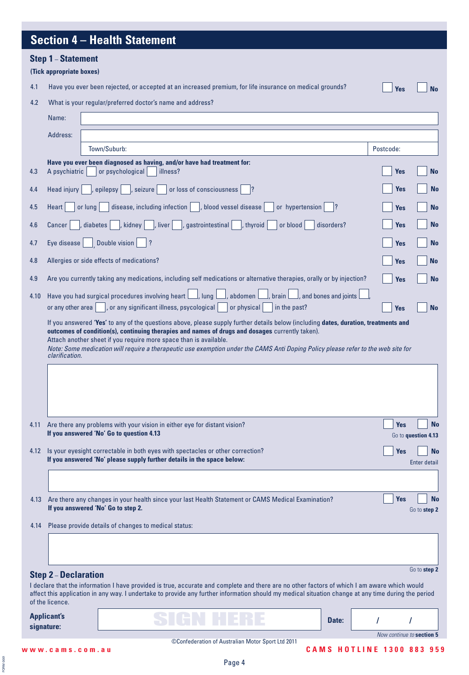# **Section 4 – Health Statement**

| <b>Step 1 - Statement</b> |  |
|---------------------------|--|
|---------------------------|--|

#### **(Tick appropriate boxes)**

4.1 Have you ever been rejected, or accepted at an increased premium, for life insurance on medical grounds?

**Yes No**

### 4.2 What is your regular/preferred doctor's name and address?

|                      | Name:                                        |                                                                                                                                                                                                                                                                                                     |            |                                                                                               |
|----------------------|----------------------------------------------|-----------------------------------------------------------------------------------------------------------------------------------------------------------------------------------------------------------------------------------------------------------------------------------------------------|------------|-----------------------------------------------------------------------------------------------|
|                      | Address:                                     |                                                                                                                                                                                                                                                                                                     |            |                                                                                               |
|                      |                                              | Town/Suburb:                                                                                                                                                                                                                                                                                        | Postcode:  |                                                                                               |
| 4.3                  | A psychiatric                                | Have you ever been diagnosed as having, and/or have had treatment for:<br>or psychological<br>illness?                                                                                                                                                                                              | <b>Yes</b> | <b>No</b>                                                                                     |
| 4.4                  | Head injury                                  | $ ,$ seizure $ $<br>or loss of consciousness<br>epilepsy<br> ?                                                                                                                                                                                                                                      | <b>Yes</b> | <b>No</b>                                                                                     |
| 4.5                  | Heart                                        | disease, including infection    , blood vessel disease<br>or hypertension<br>or lung                                                                                                                                                                                                                | <b>Yes</b> | <b>No</b>                                                                                     |
| 4.6                  | Cancer                                       | $\Box$ , liver<br>diabetes<br>$ ,$ kidney $ $<br>$ $ , gastrointestinal<br>, thyroid<br>or blood<br>disorders?                                                                                                                                                                                      | <b>Yes</b> |                                                                                               |
| 4.7                  | Eye disease                                  | Double vision<br> ?                                                                                                                                                                                                                                                                                 | <b>Yes</b> |                                                                                               |
| 4.8                  |                                              | Allergies or side effects of medications?                                                                                                                                                                                                                                                           | <b>Yes</b> | <b>No</b>                                                                                     |
| 4.9                  |                                              | Are you currently taking any medications, including self medications or alternative therapies, orally or by injection?                                                                                                                                                                              | <b>Yes</b> |                                                                                               |
| 4.10                 | or any other area                            | Have you had surgical procedures involving heart $\Box$ , lung $\Box$ , abdomen $\Box$<br>$\perp$ , brain $\lfloor \_\_$ , and bones and joints $\lfloor$<br>, or any significant illness, psycological<br>or physical<br>in the past?                                                              | <b>Yes</b> |                                                                                               |
|                      | clarification.                               | Attach another sheet if you require more space than is available.<br>Note: Some medication will require a therapeutic use exemption under the CAMS Anti Doping Policy please refer to the web site for                                                                                              |            |                                                                                               |
|                      |                                              |                                                                                                                                                                                                                                                                                                     |            |                                                                                               |
|                      |                                              | Are there any problems with your vision in either eye for distant vision?<br>If you answered 'No' Go to question 4.13                                                                                                                                                                               | <b>Yes</b> |                                                                                               |
|                      |                                              | 4.12 Is your eyesight correctable in both eyes with spectacles or other correction?<br>If you answered 'No' please supply further details in the space below:                                                                                                                                       | <b>Yes</b> |                                                                                               |
|                      |                                              | Are there any changes in your health since your last Health Statement or CAMS Medical Examination?<br>If you answered 'No' Go to step 2.                                                                                                                                                            | <b>Yes</b> |                                                                                               |
|                      |                                              | Please provide details of changes to medical status:                                                                                                                                                                                                                                                |            |                                                                                               |
|                      |                                              |                                                                                                                                                                                                                                                                                                     |            |                                                                                               |
|                      | <b>Step 2-Declaration</b><br>of the licence. | I declare that the information I have provided is true, accurate and complete and there are no other factors of which I am aware which would<br>affect this application in any way. I undertake to provide any further information should my medical situation change at any time during the period |            |                                                                                               |
| 4.11<br>4.13<br>4.14 | <b>Applicant's</b><br>signature:             | Date:                                                                                                                                                                                                                                                                                               |            | <b>No</b><br>Go to question 4.13<br><b>No</b><br>Enter detail<br>Go to step 2<br>Go to step 2 |

FORM 0001 FORM 0001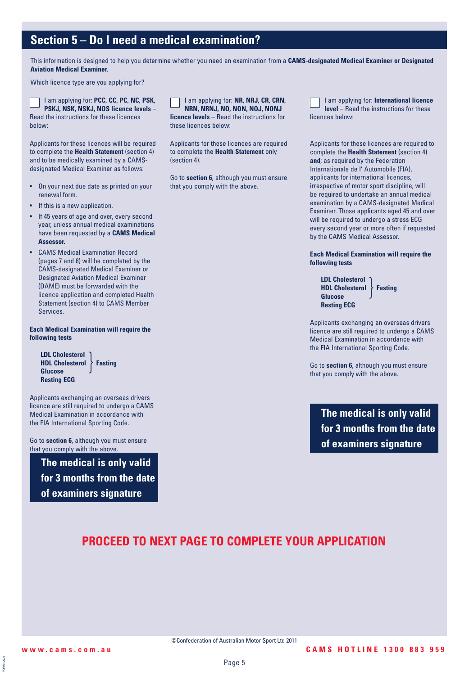## **Section 5 – Do I need a medical examination?**

This information is designed to help you determine whether you need an examination from a **CAMS-designated Medical Examiner or Designated Aviation Medical Examiner.**

Which licence type are you applying for?

I am applying for: **PCC, CC, PC, NC, PSK, PSKJ, NSK, NSKJ, NOS licence levels** – Read the instructions for these licences below:

Applicants for these licences will be required to complete the **Health Statement** (section 4) and to be medically examined by a CAMSdesignated Medical Examiner as follows:

- On your next due date as printed on your renewal form.
- If this is a new application.
- If 45 years of age and over, every second year, unless annual medical examinations have been requested by a **CAMS Medical Assessor.**
- CAMS Medical Examination Record (pages 7 and 8) will be completed by the CAMS-designated Medical Examiner or Designated Aviation Medical Examiner (DAME) must be forwarded with the licence application and completed Health Statement (section 4) to CAMS Member **Services**

**Each Medical Examination will require the following tests**

**LDL Cholesterol HDL Cholesterol > Fasting Glucose Resting ECG** }

Applicants exchanging an overseas drivers licence are still required to undergo a CAMS Medical Examination in accordance with the FIA International Sporting Code.

Go to **section 6**, although you must ensure that you comply with the above.

**The medical is only valid for 3 months from the date of examiners signature**

I am applying for: **NR, NRJ, CR, CRN, NRN, NRNJ, NO, NON, NOJ, NONJ licence levels** – Read the instructions for these licences below:

Applicants for these licences are required to complete the **Health Statement** only (section 4).

Go to **section 6**, although you must ensure that you comply with the above.

I am applying for: **International licence level** – Read the instructions for these licences below:

Applicants for these licences are required to complete the **Health Statement** (section 4) **and**; as required by the Federation Internationale de I' Automobile (FIA), applicants for international licences, irrespective of motor sport discipline, will be required to undertake an annual medical examination by a CAMS-designated Medical Examiner. Those applicants aged 45 and over will be required to undergo a stress ECG every second year or more often if requested by the CAMS Medical Assessor.

**Each Medical Examination will require the following tests**

```
LDL Cholesterol
HDL Cholesterol Fasting
Glucose
Resting ECG
               }
```
Applicants exchanging an overseas drivers licence are still required to undergo a CAMS Medical Examination in accordance with the FIA International Sporting Code.

Go to **section 6**, although you must ensure that you comply with the above.

**The medical is only valid for 3 months from the date of examiners signature**

## **PROCEED TO NEXT PAGE TO COMPLETE YOUR APPLICATION**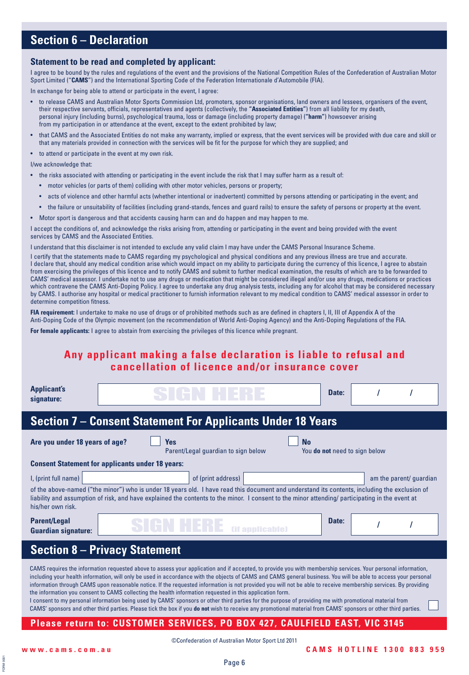## **Section 6 – Declaration**

#### **Statement to be read and completed by applicant:**

I agree to be bound by the rules and regulations of the event and the provisions of the National Competition Rules of the Confederation of Australian Motor Sport Limited ("**CAMS**") and the International Sporting Code of the Federation Internationale d'Automobile (FIA).

In exchange for being able to attend or participate in the event, I agree:

- to release CAMS and Australian Motor Sports Commission Ltd, promoters, sponsor organisations, land owners and lessees, organisers of the event, their respective servants, officials, representatives and agents (collectively, the **"Associated Entities"**) from all liability for my death, personal injury (including burns), psychological trauma, loss or damage (including property damage) (**"harm"**) howsoever arising from my participation in or attendance at the event, except to the extent prohibited by law;
- that CAMS and the Associated Entities do not make any warranty, implied or express, that the event services will be provided with due care and skill or that any materials provided in connection with the services will be fit for the purpose for which they are supplied; and
- to attend or participate in the event at my own risk.

I/we acknowledge that:

- the risks associated with attending or participating in the event include the risk that I may suffer harm as a result of:
	- motor vehicles (or parts of them) colliding with other motor vehicles, persons or property;
	- acts of violence and other harmful acts (whether intentional or inadvertent) committed by persons attending or participating in the event; and
	- the failure or unsuitability of facilities (including grand-stands, fences and guard rails) to ensure the safety of persons or property at the event.
- Motor sport is dangerous and that accidents causing harm can and do happen and may happen to me.

I accept the conditions of, and acknowledge the risks arising from, attending or participating in the event and being provided with the event services by CAMS and the Associated Entities.

I understand that this disclaimer is not intended to exclude any valid claim I may have under the CAMS Personal Insurance Scheme.

I certify that the statements made to CAMS regarding my psychological and physical conditions and any previous illness are true and accurate. I declare that, should any medical condition arise which would impact on my ability to participate during the currency of this licence, I agree to abstain from exercising the privileges of this licence and to notify CAMS and submit to further medical examination, the results of which are to be forwarded to CAMS' medical assessor. I undertake not to use any drugs or medication that might be considered illegal and/or use any drugs, medications or practices which contravene the CAMS Anti-Doping Policy. I agree to undertake any drug analysis tests, including any for alcohol that may be considered necessary by CAMS. I authorise any hospital or medical practitioner to furnish information relevant to my medical condition to CAMS' medical assessor in order to determine competition fitness.

**FIA requirement:** I undertake to make no use of drugs or of prohibited methods such as are defined in chapters I, II, III of Appendix A of the Anti-Doping Code of the Olympic movement (on the recommendation of World Anti-Doping Agency) and the Anti-Doping Regulations of the FIA.

**For female applicants:** I agree to abstain from exercising the privileges of this licence while pregnant.

### **Any applicant making a false declaration is liable to refusal and cancellation of licence and/or insurance cover**

| <b>Applicant's</b><br>signature:                                                                                                                                                                                                                                                                                                                                                                                                                                                                                                                                                                                                                                                                                                                                                                                                                                                                                                                                                                                           |                                                                                                                                                                                                                                                                                                                                                   | Date: |                                      |  |  |  |  |
|----------------------------------------------------------------------------------------------------------------------------------------------------------------------------------------------------------------------------------------------------------------------------------------------------------------------------------------------------------------------------------------------------------------------------------------------------------------------------------------------------------------------------------------------------------------------------------------------------------------------------------------------------------------------------------------------------------------------------------------------------------------------------------------------------------------------------------------------------------------------------------------------------------------------------------------------------------------------------------------------------------------------------|---------------------------------------------------------------------------------------------------------------------------------------------------------------------------------------------------------------------------------------------------------------------------------------------------------------------------------------------------|-------|--------------------------------------|--|--|--|--|
| <b>Section 7 - Consent Statement For Applicants Under 18 Years</b>                                                                                                                                                                                                                                                                                                                                                                                                                                                                                                                                                                                                                                                                                                                                                                                                                                                                                                                                                         |                                                                                                                                                                                                                                                                                                                                                   |       |                                      |  |  |  |  |
| Are you under 18 years of age?                                                                                                                                                                                                                                                                                                                                                                                                                                                                                                                                                                                                                                                                                                                                                                                                                                                                                                                                                                                             | Yes<br><b>No</b><br>Parent/Legal guardian to sign below                                                                                                                                                                                                                                                                                           |       | You <b>do not</b> need to sign below |  |  |  |  |
|                                                                                                                                                                                                                                                                                                                                                                                                                                                                                                                                                                                                                                                                                                                                                                                                                                                                                                                                                                                                                            | <b>Consent Statement for applicants under 18 years:</b>                                                                                                                                                                                                                                                                                           |       |                                      |  |  |  |  |
| I, (print full name)<br>his/her own risk.                                                                                                                                                                                                                                                                                                                                                                                                                                                                                                                                                                                                                                                                                                                                                                                                                                                                                                                                                                                  | of (print address)<br>am the parent/ quardian<br>of the above-named ("the minor") who is under 18 years old. I have read this document and understand its contents, including the exclusion of<br>liability and assumption of risk, and have explained the contents to the minor. I consent to the minor attending/ participating in the event at |       |                                      |  |  |  |  |
| <b>Parent/Legal</b><br><b>Guardian signature:</b>                                                                                                                                                                                                                                                                                                                                                                                                                                                                                                                                                                                                                                                                                                                                                                                                                                                                                                                                                                          | <b>(if annlicable)</b>                                                                                                                                                                                                                                                                                                                            | Date: |                                      |  |  |  |  |
|                                                                                                                                                                                                                                                                                                                                                                                                                                                                                                                                                                                                                                                                                                                                                                                                                                                                                                                                                                                                                            | <b>Section 8 - Privacy Statement</b>                                                                                                                                                                                                                                                                                                              |       |                                      |  |  |  |  |
| CAMS requires the information requested above to assess your application and if accepted, to provide you with membership services. Your personal information,<br>including your health information, will only be used in accordance with the objects of CAMS and CAMS general business. You will be able to access your personal<br>information through CAMS upon reasonable notice. If the requested information is not provided you will not be able to receive membership services. By providing<br>the information you consent to CAMS collecting the health information requested in this application form.<br>I consent to my personal information being used by CAMS' sponsors or other third parties for the purpose of providing me with promotional material from<br>CAMS' sponsors and other third parties. Please tick the box if you do not wish to receive any promotional material from CAMS' sponsors or other third parties.<br>Please return to: CUSTOMER SERVICES, PO BOX 427, CAULFIELD EAST, VIC 3145 |                                                                                                                                                                                                                                                                                                                                                   |       |                                      |  |  |  |  |
|                                                                                                                                                                                                                                                                                                                                                                                                                                                                                                                                                                                                                                                                                                                                                                                                                                                                                                                                                                                                                            |                                                                                                                                                                                                                                                                                                                                                   |       |                                      |  |  |  |  |

**DOD** FORM 0001**ORM**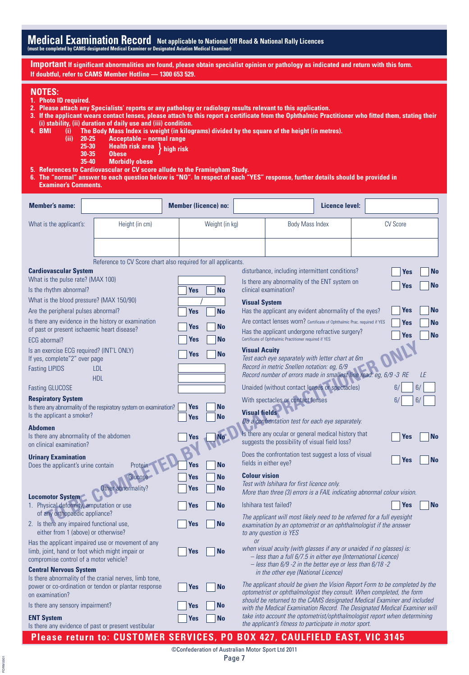**Important If significant abnormalities are found, please obtain specialist opinion or pathology as indicated and return with this form. If doubtful, refer to CAMS Member Hotline — 1300 653 529.**

#### **NOTES:**

FORM 0001 FORM 0001

- **1. Photo ID required.**
- **2. Please attach any Specialists' reports or any pathology or radiology results relevant to this application.**
- **3. If the applicant wears contact lenses, please attach to this report a certificate from the Ophthalmic Practitioner who fitted them, stating their (i) stability, (ii) duration of daily use and (iii) condition.**
- **4. BMI (i) The Body Mass Index is weight (in kilograms) divided by the square of the height (in metres).**
	- **(ii) 20-25 Acceptable normal range**
		- **25-30 Health risk area** } **high risk**
		- **30-35 Obese**
		- **35-40 Morbidly obese**
- **5. References to Cardiovascular or CV score allude to the Framingham Study.**
- **6. The "normal" answer to each question below is "NO". In respect of each "YES" response, further details should be provided in Examiner's Comments.**

| <b>Member's name:</b>                                                                     |                                                                    | <b>Member (licence) no:</b> |                      | Licence level:                                                                                                                                       |                                                                           |
|-------------------------------------------------------------------------------------------|--------------------------------------------------------------------|-----------------------------|----------------------|------------------------------------------------------------------------------------------------------------------------------------------------------|---------------------------------------------------------------------------|
| What is the applicant's:                                                                  | Height (in cm)                                                     | Weight (in kg)              |                      | <b>Body Mass Index</b>                                                                                                                               | <b>CV Score</b>                                                           |
|                                                                                           |                                                                    |                             |                      |                                                                                                                                                      |                                                                           |
|                                                                                           |                                                                    |                             |                      |                                                                                                                                                      |                                                                           |
|                                                                                           | Reference to CV Score chart also required for all applicants.      |                             |                      |                                                                                                                                                      |                                                                           |
| <b>Cardiovascular System</b>                                                              |                                                                    |                             |                      | disturbance, including intermittent conditions?                                                                                                      | <b>No</b><br>Yes                                                          |
| What is the pulse rate? (MAX 100)<br>Is the rhythm abnormal?                              |                                                                    | <b>No</b>                   |                      | Is there any abnormality of the ENT system on<br>clinical examination?                                                                               | No<br>Yes                                                                 |
| What is the blood pressure? (MAX 150/90)                                                  |                                                                    | <b>Yes</b>                  |                      |                                                                                                                                                      |                                                                           |
| Are the peripheral pulses abnormal?                                                       |                                                                    | <b>No</b><br><b>Yes</b>     | <b>Visual System</b> | Has the applicant any evident abnormality of the eyes?                                                                                               | Yes<br>No                                                                 |
| Is there any evidence in the history or examination                                       |                                                                    |                             |                      | Are contact lenses worn? Certificate of Ophthalmic Prac. required if YES                                                                             |                                                                           |
| of past or present ischaemic heart disease?                                               |                                                                    | <b>No</b><br>Yes            |                      | Has the applicant undergone refractive surgery?                                                                                                      | Yes<br><b>No</b>                                                          |
| ECG abormal?                                                                              |                                                                    | No<br>Yes                   |                      | Certificate of Ophthalmic Practitioner required if YES                                                                                               | <b>No</b><br>Yes                                                          |
| Is an exercise ECG required? (INT'L ONLY)                                                 |                                                                    | <b>No</b><br>Yes            | <b>Visual Acuity</b> |                                                                                                                                                      |                                                                           |
| If yes, complete"2" over page                                                             |                                                                    |                             |                      | Test each eye separately with letter chart at 6m                                                                                                     |                                                                           |
| <b>Fasting LIPIDS</b>                                                                     | LDL                                                                |                             |                      | Record in metric Snellen notation: eg, 6/9<br>Record number of errors made in smallest line read: eg, 6/9 -3 RE                                      | LE                                                                        |
| <b>Fasting GLUCOSE</b>                                                                    | <b>HDL</b>                                                         |                             |                      | Unaided (without contact lenses or spectacles)                                                                                                       | 6,<br>6,                                                                  |
| <b>Respiratory System</b>                                                                 |                                                                    |                             |                      | With spectacles or contact lenses                                                                                                                    | 6,<br>6/                                                                  |
|                                                                                           | Is there any abnormality of the respiratory system on examination? | Yes<br><b>No</b>            |                      |                                                                                                                                                      |                                                                           |
| Is the applicant a smoker?                                                                |                                                                    | <b>Yes</b><br><b>No</b>     | <b>Visual fields</b> | Do a confrontation test for each eye separately.                                                                                                     |                                                                           |
| <b>Abdomen</b>                                                                            |                                                                    |                             |                      | Is there any ocular or general medical history that                                                                                                  |                                                                           |
| Is there any abnormality of the abdomen<br>on clinical examination?                       |                                                                    | <b>No</b><br>Yes            |                      | suggests the possibility of visual field loss?                                                                                                       | <b>No</b><br>Yes                                                          |
|                                                                                           |                                                                    |                             |                      | Does the confrontation test suggest a loss of visual                                                                                                 |                                                                           |
| <b>Urinary Examination</b><br>Does the applicant's urine contain                          | Protein                                                            | <b>Yes</b><br><b>No</b>     |                      | fields in either eye?                                                                                                                                | Yes<br><b>No</b>                                                          |
|                                                                                           | Glucose                                                            | <b>No</b><br>Yes            | <b>Colour vision</b> |                                                                                                                                                      |                                                                           |
|                                                                                           | Other abnormality?                                                 | <b>No</b><br>Yes            |                      | Test with Ishihara for first licence only.<br>More than three (3) errors is a FAIL indicating abnormal colour vision.                                |                                                                           |
| <b>Locomotor System</b>                                                                   |                                                                    |                             |                      |                                                                                                                                                      |                                                                           |
| 1. Physical deformity, amputation or use<br>of any orthopaedic appliance?                 |                                                                    | <b>No</b><br>Yes            |                      | Ishihara test failed?                                                                                                                                | <b>No</b><br><b>Yes</b>                                                   |
| 2. Is there any impaired functional use,                                                  |                                                                    | <b>No</b><br>Yes            |                      | The applicant will most likely need to be referred for a full eyesight<br>examination by an optometrist or an ophthalmologist if the answer          |                                                                           |
| either from 1 (above) or otherwise?                                                       |                                                                    |                             |                      | to any question is YES                                                                                                                               |                                                                           |
|                                                                                           | Has the applicant impaired use or movement of any                  |                             |                      | when visual acuity (with glasses if any or unaided if no glasses) is:                                                                                |                                                                           |
| limb, joint, hand or foot which might impair or<br>compromise control of a motor vehicle? |                                                                    | <b>No</b><br><b>Yes</b>     |                      | - less than a full 6/7.5 in either eye (International Licence)                                                                                       |                                                                           |
| <b>Central Nervous System</b>                                                             |                                                                    |                             |                      | $-$ less than 6/9 -2 in the better eye or less than 6/18 -2                                                                                          |                                                                           |
|                                                                                           | Is there abnormality of the cranial nerves, limb tone,             |                             |                      | in the other eye (National Licence)                                                                                                                  |                                                                           |
|                                                                                           | power or co-ordination or tendon or plantar response               | <b>No</b><br><b>Yes</b>     |                      | The applicant should be given the Vision Report Form to be completed by the<br>optometrist or ophthalmologist they consult. When completed, the form |                                                                           |
| on examination?<br>Is there any sensory impairment?                                       |                                                                    | <b>Yes</b><br><b>No</b>     |                      | should be returned to the CAMS designated Medical Examiner and included                                                                              |                                                                           |
| <b>ENT System</b>                                                                         |                                                                    | No                          |                      | take into account the optometrist/ophthalmologist report when determining                                                                            | with the Medical Examination Record. The Designated Medical Examiner will |
| Is there any evidence of past or present vestibular                                       |                                                                    | Yes                         |                      | the applicant's fitness to participate in motor sport.                                                                                               |                                                                           |
|                                                                                           |                                                                    |                             |                      | Please return to: CUSTOMER SERVICES, PO BOX 427, CAULFIELD EAST, VIC 3145                                                                            |                                                                           |

©Confederation of Australian Motor Sport Ltd 2011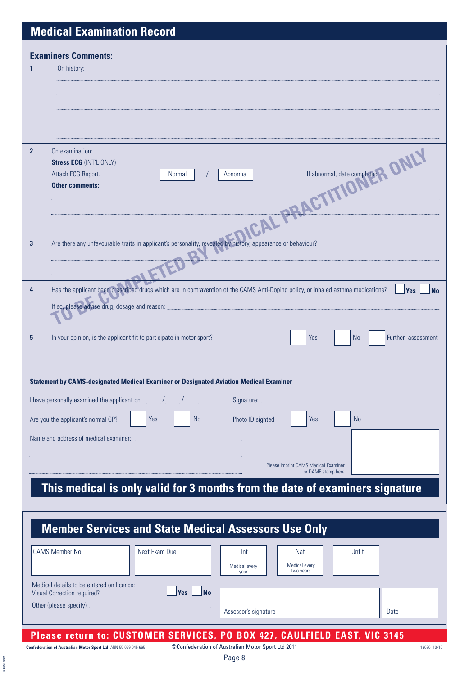# **Medical Examination Record**

|                | <b>Examiners Comments:</b>                                                                                                                            |
|----------------|-------------------------------------------------------------------------------------------------------------------------------------------------------|
| 1              | On history:                                                                                                                                           |
|                |                                                                                                                                                       |
|                |                                                                                                                                                       |
|                |                                                                                                                                                       |
|                | If abnormal, date completed? ONLY                                                                                                                     |
| $\overline{2}$ | On examination:                                                                                                                                       |
|                | <b>Stress ECG (INT'L ONLY)</b>                                                                                                                        |
|                | Attach ECG Report.<br><b>Normal</b><br>Abnormal                                                                                                       |
|                | <b>Other comments:</b>                                                                                                                                |
|                |                                                                                                                                                       |
|                |                                                                                                                                                       |
| 3              | Are there any unfavourable traits in applicant's personality, revealed by history, appearance or behaviour?                                           |
|                | 12                                                                                                                                                    |
|                |                                                                                                                                                       |
|                |                                                                                                                                                       |
| 4              | Has the applicant been prescribed drugs which are in contravention of the CAMS Anti-Doping policy, or inhaled asthma medications?<br>Yes<br><b>No</b> |
|                | If so, please advise drug, dosage and reason:                                                                                                         |
|                |                                                                                                                                                       |
| 5              | In your opinion, is the applicant fit to participate in motor sport?<br>Yes<br><b>No</b><br>Further assessment                                        |
|                |                                                                                                                                                       |
|                |                                                                                                                                                       |
|                | Statement by CAMS-designated Medical Examiner or Designated Aviation Medical Examiner                                                                 |
|                | I have personally examined the applicant on<br>Signature:                                                                                             |
|                | <b>No</b><br>Are you the applicant's normal GP?<br>Yes<br>Photo ID sighted<br><b>No</b><br>Yes                                                        |
|                |                                                                                                                                                       |
|                | Name and address of medical examiner:                                                                                                                 |
|                | Please imprint CAMS Medical Examiner                                                                                                                  |
|                | or DAME stamp here                                                                                                                                    |
|                | This medical is only valid for 3 months from the date of examiners signature                                                                          |

| <b>Member Services and State Medical Assessors Use Only</b>                                                                                                    |               |                              |  |                                                 |  |       |  |  |
|----------------------------------------------------------------------------------------------------------------------------------------------------------------|---------------|------------------------------|--|-------------------------------------------------|--|-------|--|--|
| <b>CAMS Member No.</b>                                                                                                                                         | Next Exam Due | Int<br>Medical every<br>year |  | <b>Nat</b><br><b>Medical every</b><br>two years |  | Unfit |  |  |
| Medical details to be entered on licence:<br><b>No</b><br><b>Yes</b><br>Visual Correction required?<br>Other (please specify):<br>Assessor's signature<br>Date |               |                              |  |                                                 |  |       |  |  |
| Please return to: CUSTOMER SERVICES, PO BOX 427, CAULFIELD EAST, VIC 3145                                                                                      |               |                              |  |                                                 |  |       |  |  |

**Confederation of Australian Motor Sport Ltd** ABN 55 069 045 665 **13030 10/10** Confederation of Australian Motor Sport Ltd 2011